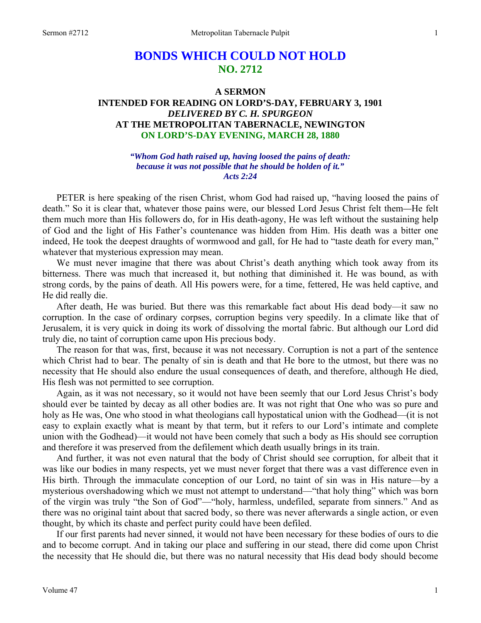# **BONDS WHICH COULD NOT HOLD NO. 2712**

# **A SERMON INTENDED FOR READING ON LORD'S-DAY, FEBRUARY 3, 1901**  *DELIVERED BY C. H. SPURGEON*  **AT THE METROPOLITAN TABERNACLE, NEWINGTON ON LORD'S-DAY EVENING, MARCH 28, 1880**

*"Whom God hath raised up, having loosed the pains of death: because it was not possible that he should be holden of it." Acts 2:24* 

PETER is here speaking of the risen Christ, whom God had raised up, "having loosed the pains of death." So it is clear that, whatever those pains were, our blessed Lord Jesus Christ felt them*—*He felt them much more than His followers do, for in His death-agony, He was left without the sustaining help of God and the light of His Father's countenance was hidden from Him. His death was a bitter one indeed, He took the deepest draughts of wormwood and gall, for He had to "taste death for every man," whatever that mysterious expression may mean.

 We must never imagine that there was about Christ's death anything which took away from its bitterness. There was much that increased it, but nothing that diminished it. He was bound, as with strong cords, by the pains of death. All His powers were, for a time, fettered, He was held captive, and He did really die.

 After death, He was buried. But there was this remarkable fact about His dead body—it saw no corruption. In the case of ordinary corpses, corruption begins very speedily. In a climate like that of Jerusalem, it is very quick in doing its work of dissolving the mortal fabric. But although our Lord did truly die, no taint of corruption came upon His precious body.

 The reason for that was, first, because it was not necessary. Corruption is not a part of the sentence which Christ had to bear. The penalty of sin is death and that He bore to the utmost, but there was no necessity that He should also endure the usual consequences of death, and therefore, although He died, His flesh was not permitted to see corruption.

 Again, as it was not necessary, so it would not have been seemly that our Lord Jesus Christ's body should ever be tainted by decay as all other bodies are. It was not right that One who was so pure and holy as He was, One who stood in what theologians call hypostatical union with the Godhead—(it is not easy to explain exactly what is meant by that term, but it refers to our Lord's intimate and complete union with the Godhead)—it would not have been comely that such a body as His should see corruption and therefore it was preserved from the defilement which death usually brings in its train.

 And further, it was not even natural that the body of Christ should see corruption, for albeit that it was like our bodies in many respects, yet we must never forget that there was a vast difference even in His birth. Through the immaculate conception of our Lord, no taint of sin was in His nature—by a mysterious overshadowing which we must not attempt to understand—"that holy thing" which was born of the virgin was truly "the Son of God"—"holy, harmless, undefiled, separate from sinners." And as there was no original taint about that sacred body, so there was never afterwards a single action, or even thought, by which its chaste and perfect purity could have been defiled.

 If our first parents had never sinned, it would not have been necessary for these bodies of ours to die and to become corrupt. And in taking our place and suffering in our stead, there did come upon Christ the necessity that He should die, but there was no natural necessity that His dead body should become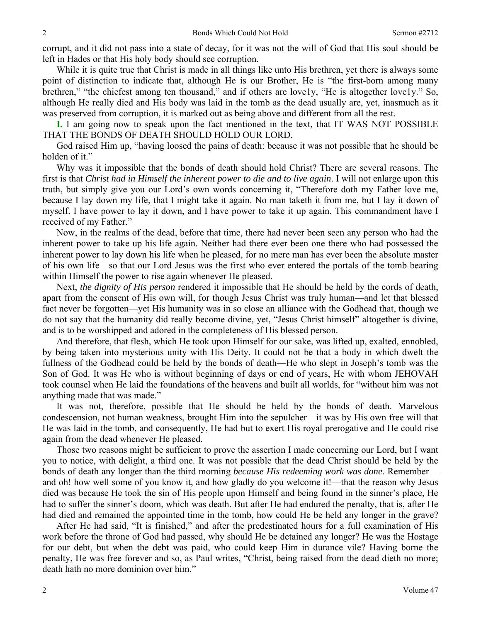corrupt, and it did not pass into a state of decay, for it was not the will of God that His soul should be left in Hades or that His holy body should see corruption.

 While it is quite true that Christ is made in all things like unto His brethren, yet there is always some point of distinction to indicate that, although He is our Brother, He is "the first-born among many brethren," "the chiefest among ten thousand," and if others are love1y, "He is altogether love1y." So, although He really died and His body was laid in the tomb as the dead usually are, yet, inasmuch as it was preserved from corruption, it is marked out as being above and different from all the rest.

**I.** I am going now to speak upon the fact mentioned in the text, that IT WAS NOT POSSIBLE THAT THE BONDS OF DEATH SHOULD HOLD OUR LORD.

 God raised Him up, "having loosed the pains of death: because it was not possible that he should be holden of it."

 Why was it impossible that the bonds of death should hold Christ? There are several reasons. The first is that *Christ had in Himself the inherent power to die and to live again*. I will not enlarge upon this truth, but simply give you our Lord's own words concerning it, "Therefore doth my Father love me, because I lay down my life, that I might take it again. No man taketh it from me, but I lay it down of myself. I have power to lay it down, and I have power to take it up again. This commandment have I received of my Father."

 Now, in the realms of the dead, before that time, there had never been seen any person who had the inherent power to take up his life again. Neither had there ever been one there who had possessed the inherent power to lay down his life when he pleased, for no mere man has ever been the absolute master of his own life—so that our Lord Jesus was the first who ever entered the portals of the tomb bearing within Himself the power to rise again whenever He pleased.

 Next, *the dignity of His person* rendered it impossible that He should be held by the cords of death, apart from the consent of His own will, for though Jesus Christ was truly human—and let that blessed fact never be forgotten—yet His humanity was in so close an alliance with the Godhead that, though we do not say that the humanity did really become divine, yet, "Jesus Christ himself" altogether is divine, and is to be worshipped and adored in the completeness of His blessed person.

 And therefore, that flesh, which He took upon Himself for our sake, was lifted up, exalted, ennobled, by being taken into mysterious unity with His Deity. It could not be that a body in which dwelt the fullness of the Godhead could be held by the bonds of death—He who slept in Joseph's tomb was the Son of God. It was He who is without beginning of days or end of years, He with whom JEHOVAH took counsel when He laid the foundations of the heavens and built all worlds, for "without him was not anything made that was made."

 It was not, therefore, possible that He should be held by the bonds of death. Marvelous condescension, not human weakness, brought Him into the sepulcher—it was by His own free will that He was laid in the tomb, and consequently, He had but to exert His royal prerogative and He could rise again from the dead whenever He pleased.

 Those two reasons might be sufficient to prove the assertion I made concerning our Lord, but I want you to notice, with delight, a third one. It was not possible that the dead Christ should be held by the bonds of death any longer than the third morning *because His redeeming work was done*. Remember and oh! how well some of you know it, and how gladly do you welcome it!—that the reason why Jesus died was because He took the sin of His people upon Himself and being found in the sinner's place, He had to suffer the sinner's doom, which was death. But after He had endured the penalty, that is, after He had died and remained the appointed time in the tomb, how could He be held any longer in the grave?

 After He had said, "It is finished," and after the predestinated hours for a full examination of His work before the throne of God had passed, why should He be detained any longer? He was the Hostage for our debt, but when the debt was paid, who could keep Him in durance vile? Having borne the penalty, He was free forever and so, as Paul writes, "Christ, being raised from the dead dieth no more; death hath no more dominion over him."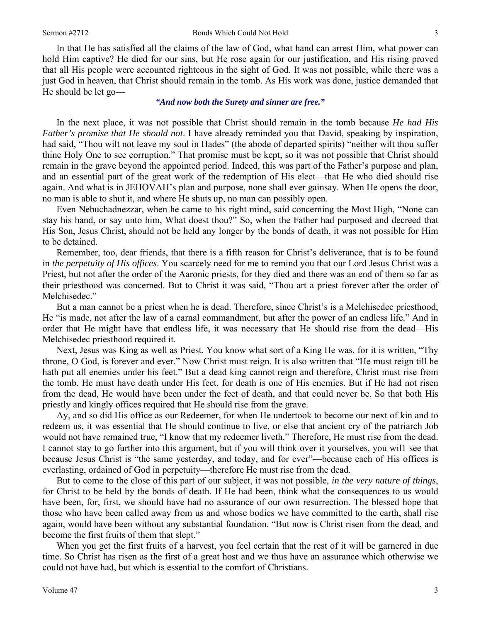In that He has satisfied all the claims of the law of God, what hand can arrest Him, what power can hold Him captive? He died for our sins, but He rose again for our justification, and His rising proved that all His people were accounted righteous in the sight of God. It was not possible, while there was a just God in heaven, that Christ should remain in the tomb. As His work was done, justice demanded that He should be let go—

### *"And now both the Surety and sinner are free."*

In the next place, it was not possible that Christ should remain in the tomb because *He had His Father's promise that He should not*. I have already reminded you that David, speaking by inspiration, had said, "Thou wilt not leave my soul in Hades" (the abode of departed spirits) "neither wilt thou suffer thine Holy One to see corruption." That promise must be kept, so it was not possible that Christ should remain in the grave beyond the appointed period. Indeed, this was part of the Father's purpose and plan, and an essential part of the great work of the redemption of His elect—that He who died should rise again. And what is in JEHOVAH's plan and purpose, none shall ever gainsay. When He opens the door, no man is able to shut it, and where He shuts up, no man can possibly open.

 Even Nebuchadnezzar, when he came to his right mind, said concerning the Most High, "None can stay his hand, or say unto him, What doest thou?" So, when the Father had purposed and decreed that His Son, Jesus Christ, should not be held any longer by the bonds of death, it was not possible for Him to be detained.

 Remember, too, dear friends, that there is a fifth reason for Christ's deliverance, that is to be found in *the perpetuity of His offices*. You scarcely need for me to remind you that our Lord Jesus Christ was a Priest, but not after the order of the Aaronic priests, for they died and there was an end of them so far as their priesthood was concerned. But to Christ it was said, "Thou art a priest forever after the order of Melchisedec."

 But a man cannot be a priest when he is dead. Therefore, since Christ's is a Melchisedec priesthood, He "is made, not after the law of a carnal commandment, but after the power of an endless life." And in order that He might have that endless life, it was necessary that He should rise from the dead—His Melchisedec priesthood required it.

 Next, Jesus was King as well as Priest. You know what sort of a King He was, for it is written, "Thy throne, O God, is forever and ever." Now Christ must reign. It is also written that "He must reign till he hath put all enemies under his feet." But a dead king cannot reign and therefore, Christ must rise from the tomb. He must have death under His feet, for death is one of His enemies. But if He had not risen from the dead, He would have been under the feet of death, and that could never be. So that both His priestly and kingly offices required that He should rise from the grave.

 Ay, and so did His office as our Redeemer, for when He undertook to become our next of kin and to redeem us, it was essential that He should continue to live, or else that ancient cry of the patriarch Job would not have remained true, "I know that my redeemer liveth." Therefore, He must rise from the dead. I cannot stay to go further into this argument, but if you will think over it yourselves, you wil1 see that because Jesus Christ is "the same yesterday, and today, and for ever"—because each of His offices is everlasting, ordained of God in perpetuity—therefore He must rise from the dead.

 But to come to the close of this part of our subject, it was not possible, *in the very nature of things*, for Christ to be held by the bonds of death. If He had been, think what the consequences to us would have been, for, first, we should have had no assurance of our own resurrection. The blessed hope that those who have been called away from us and whose bodies we have committed to the earth, shall rise again, would have been without any substantial foundation. "But now is Christ risen from the dead, and become the first fruits of them that slept."

 When you get the first fruits of a harvest, you feel certain that the rest of it will be garnered in due time. So Christ has risen as the first of a great host and we thus have an assurance which otherwise we could not have had, but which is essential to the comfort of Christians.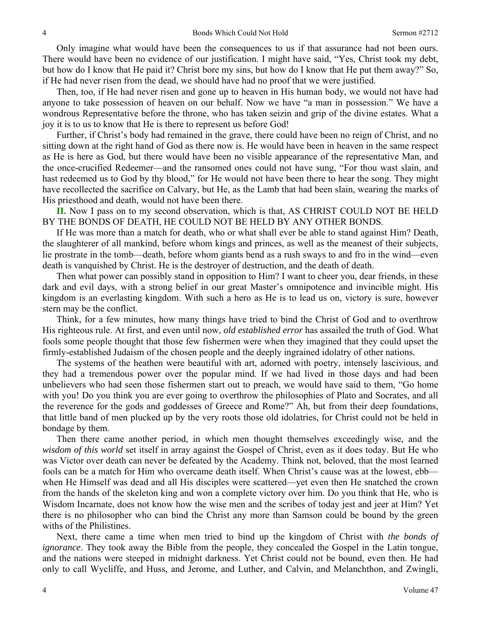Only imagine what would have been the consequences to us if that assurance had not been ours. There would have been no evidence of our justification. I might have said, "Yes, Christ took my debt, but how do I know that He paid it? Christ bore my sins, but how do I know that He put them away?" So, if He had never risen from the dead, we should have had no proof that we were justified.

 Then, too, if He had never risen and gone up to heaven in His human body, we would not have had anyone to take possession of heaven on our behalf. Now we have "a man in possession." We have a wondrous Representative before the throne, who has taken seizin and grip of the divine estates. What a joy it is to us to know that He is there to represent us before God!

 Further, if Christ's body had remained in the grave, there could have been no reign of Christ, and no sitting down at the right hand of God as there now is. He would have been in heaven in the same respect as He is here as God, but there would have been no visible appearance of the representative Man, and the once-crucified Redeemer—and the ransomed ones could not have sung, "For thou wast slain, and hast redeemed us to God by thy blood," for He would not have been there to hear the song. They might have recollected the sacrifice on Calvary, but He, as the Lamb that had been slain, wearing the marks of His priesthood and death, would not have been there.

**II.** Now I pass on to my second observation, which is that, AS CHRIST COULD NOT BE HELD BY THE BONDS OF DEATH, HE COULD NOT BE HELD BY ANY OTHER BONDS.

 If He was more than a match for death, who or what shall ever be able to stand against Him? Death, the slaughterer of all mankind, before whom kings and princes, as well as the meanest of their subjects, lie prostrate in the tomb—death, before whom giants bend as a rush sways to and fro in the wind—even death is vanquished by Christ. He is the destroyer of destruction, and the death of death.

 Then what power can possibly stand in opposition to Him? I want to cheer you, dear friends, in these dark and evil days, with a strong belief in our great Master's omnipotence and invincible might. His kingdom is an everlasting kingdom. With such a hero as He is to lead us on, victory is sure, however stern may be the conflict.

 Think, for a few minutes, how many things have tried to bind the Christ of God and to overthrow His righteous rule. At first, and even until now, *old established error* has assailed the truth of God. What fools some people thought that those few fishermen were when they imagined that they could upset the firmly-established Judaism of the chosen people and the deeply ingrained idolatry of other nations.

 The systems of the heathen were beautiful with art, adorned with poetry, intensely lascivious, and they had a tremendous power over the popular mind. If we had lived in those days and had been unbelievers who had seen those fishermen start out to preach, we would have said to them, "Go home with you! Do you think you are ever going to overthrow the philosophies of Plato and Socrates, and all the reverence for the gods and goddesses of Greece and Rome?" Ah, but from their deep foundations, that little band of men plucked up by the very roots those old idolatries, for Christ could not be held in bondage by them.

 Then there came another period, in which men thought themselves exceedingly wise, and the *wisdom of this world* set itself in array against the Gospel of Christ, even as it does today. But He who was Victor over death can never be defeated by the Academy. Think not, beloved, that the most learned fools can be a match for Him who overcame death itself. When Christ's cause was at the lowest, ebb when He Himself was dead and all His disciples were scattered—yet even then He snatched the crown from the hands of the skeleton king and won a complete victory over him. Do you think that He, who is Wisdom Incarnate, does not know how the wise men and the scribes of today jest and jeer at Him? Yet there is no philosopher who can bind the Christ any more than Samson could be bound by the green withs of the Philistines.

 Next, there came a time when men tried to bind up the kingdom of Christ with *the bonds of ignorance*. They took away the Bible from the people, they concealed the Gospel in the Latin tongue, and the nations were steeped in midnight darkness. Yet Christ could not be bound, even then. He had only to call Wycliffe, and Huss, and Jerome, and Luther, and Calvin, and Melanchthon, and Zwingli,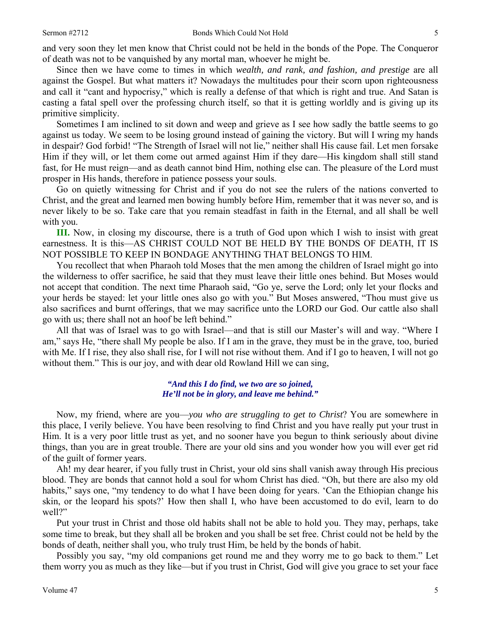Since then we have come to times in which *wealth, and rank, and fashion, and prestige* are all against the Gospel. But what matters it? Nowadays the multitudes pour their scorn upon righteousness and call it "cant and hypocrisy," which is really a defense of that which is right and true. And Satan is casting a fatal spell over the professing church itself, so that it is getting worldly and is giving up its primitive simplicity.

 Sometimes I am inclined to sit down and weep and grieve as I see how sadly the battle seems to go against us today. We seem to be losing ground instead of gaining the victory. But will I wring my hands in despair? God forbid! "The Strength of Israel will not lie," neither shall His cause fail. Let men forsake Him if they will, or let them come out armed against Him if they dare—His kingdom shall still stand fast, for He must reign—and as death cannot bind Him, nothing else can. The pleasure of the Lord must prosper in His hands, therefore in patience possess your souls.

 Go on quietly witnessing for Christ and if you do not see the rulers of the nations converted to Christ, and the great and learned men bowing humbly before Him, remember that it was never so, and is never likely to be so. Take care that you remain steadfast in faith in the Eternal, and all shall be well with you.

**III.** Now, in closing my discourse, there is a truth of God upon which I wish to insist with great earnestness. It is this—AS CHRIST COULD NOT BE HELD BY THE BONDS OF DEATH, IT IS NOT POSSIBLE TO KEEP IN BONDAGE ANYTHING THAT BELONGS TO HIM.

 You recollect that when Pharaoh told Moses that the men among the children of Israel might go into the wilderness to offer sacrifice, he said that they must leave their little ones behind. But Moses would not accept that condition. The next time Pharaoh said, "Go ye, serve the Lord; only let your flocks and your herds be stayed: let your little ones also go with you." But Moses answered, "Thou must give us also sacrifices and burnt offerings, that we may sacrifice unto the LORD our God. Our cattle also shall go with us; there shall not an hoof be left behind."

 All that was of Israel was to go with Israel—and that is still our Master's will and way. "Where I am," says He, "there shall My people be also. If I am in the grave, they must be in the grave, too, buried with Me. If I rise, they also shall rise, for I will not rise without them. And if I go to heaven, I will not go without them." This is our joy, and with dear old Rowland Hill we can sing,

### *"And this I do find, we two are so joined, He'll not be in glory, and leave me behind."*

Now, my friend, where are you—*you who are struggling to get to Christ*? You are somewhere in this place, I verily believe. You have been resolving to find Christ and you have really put your trust in Him. It is a very poor little trust as yet, and no sooner have you begun to think seriously about divine things, than you are in great trouble. There are your old sins and you wonder how you will ever get rid of the guilt of former years.

 Ah! my dear hearer, if you fully trust in Christ, your old sins shall vanish away through His precious blood. They are bonds that cannot hold a soul for whom Christ has died. "Oh, but there are also my old habits," says one, "my tendency to do what I have been doing for years. 'Can the Ethiopian change his skin, or the leopard his spots?' How then shall I, who have been accustomed to do evil, learn to do well?"

 Put your trust in Christ and those old habits shall not be able to hold you. They may, perhaps, take some time to break, but they shall all be broken and you shall be set free. Christ could not be held by the bonds of death, neither shall you, who truly trust Him, be held by the bonds of habit.

 Possibly you say, "my old companions get round me and they worry me to go back to them." Let them worry you as much as they like—but if you trust in Christ, God will give you grace to set your face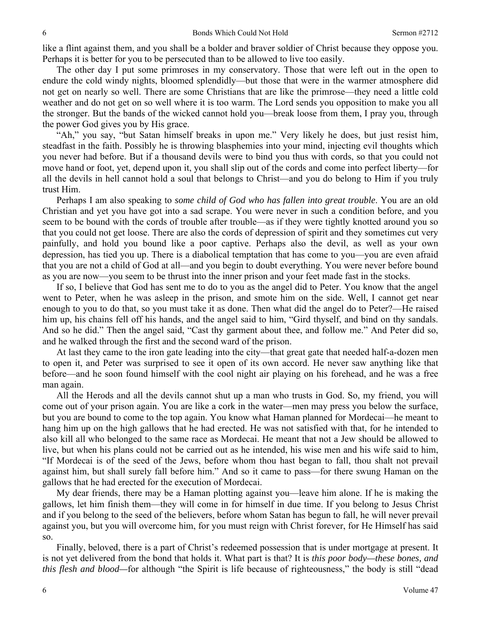like a flint against them, and you shall be a bolder and braver soldier of Christ because they oppose you. Perhaps it is better for you to be persecuted than to be allowed to live too easily.

 The other day I put some primroses in my conservatory. Those that were left out in the open to endure the cold windy nights, bloomed splendidly—but those that were in the warmer atmosphere did not get on nearly so well. There are some Christians that are like the primrose—they need a little cold weather and do not get on so well where it is too warm. The Lord sends you opposition to make you all the stronger. But the bands of the wicked cannot hold you—break loose from them, I pray you, through the power God gives you by His grace.

 "Ah," you say, "but Satan himself breaks in upon me." Very likely he does, but just resist him, steadfast in the faith. Possibly he is throwing blasphemies into your mind, injecting evil thoughts which you never had before. But if a thousand devils were to bind you thus with cords, so that you could not move hand or foot, yet, depend upon it, you shall slip out of the cords and come into perfect liberty—for all the devils in hell cannot hold a soul that belongs to Christ—and you do belong to Him if you truly trust Him.

 Perhaps I am also speaking to *some child of God who has fallen into great trouble*. You are an old Christian and yet you have got into a sad scrape. You were never in such a condition before, and you seem to be bound with the cords of trouble after trouble—as if they were tightly knotted around you so that you could not get loose. There are also the cords of depression of spirit and they sometimes cut very painfully, and hold you bound like a poor captive. Perhaps also the devil, as well as your own depression, has tied you up. There is a diabolical temptation that has come to you—you are even afraid that you are not a child of God at all—and you begin to doubt everything. You were never before bound as you are now—you seem to be thrust into the inner prison and your feet made fast in the stocks.

 If so, I believe that God has sent me to do to you as the angel did to Peter. You know that the angel went to Peter, when he was asleep in the prison, and smote him on the side. Well, I cannot get near enough to you to do that, so you must take it as done. Then what did the angel do to Peter?—He raised him up, his chains fell off his hands, and the angel said to him, "Gird thyself, and bind on thy sandals. And so he did." Then the angel said, "Cast thy garment about thee, and follow me." And Peter did so, and he walked through the first and the second ward of the prison.

 At last they came to the iron gate leading into the city—that great gate that needed half-a-dozen men to open it, and Peter was surprised to see it open of its own accord. He never saw anything like that before—and he soon found himself with the cool night air playing on his forehead, and he was a free man again.

 All the Herods and all the devils cannot shut up a man who trusts in God. So, my friend, you will come out of your prison again. You are like a cork in the water—men may press you below the surface, but you are bound to come to the top again. You know what Haman planned for Mordecai—he meant to hang him up on the high gallows that he had erected. He was not satisfied with that, for he intended to also kill all who belonged to the same race as Mordecai. He meant that not a Jew should be allowed to live, but when his plans could not be carried out as he intended, his wise men and his wife said to him, "If Mordecai is of the seed of the Jews, before whom thou hast began to fall, thou shalt not prevail against him, but shall surely fall before him." And so it came to pass—for there swung Haman on the gallows that he had erected for the execution of Mordecai.

 My dear friends, there may be a Haman plotting against you—leave him alone. If he is making the gallows, let him finish them—they will come in for himself in due time. If you belong to Jesus Christ and if you belong to the seed of the believers, before whom Satan has begun to fall, he will never prevail against you, but you will overcome him, for you must reign with Christ forever, for He Himself has said so.

 Finally, beloved, there is a part of Christ's redeemed possession that is under mortgage at present. It is not yet delivered from the bond that holds it. What part is that? It is *this poor body—these bones, and this flesh and blood—*for although "the Spirit is life because of righteousness," the body is still "dead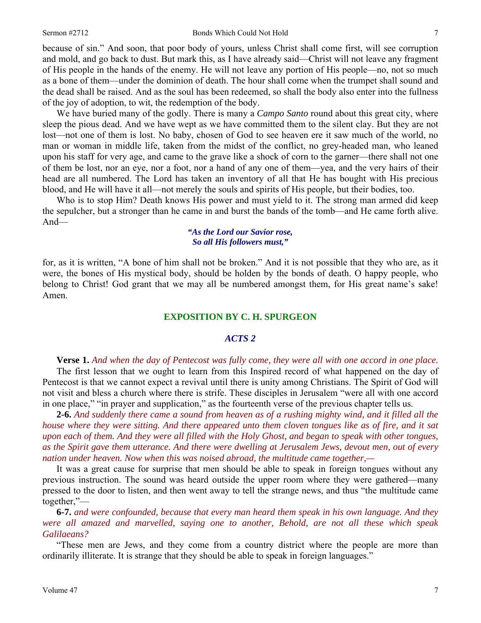#### Sermon #2712 Bonds Which Could Not Hold 7

because of sin." And soon, that poor body of yours, unless Christ shall come first, will see corruption and mold, and go back to dust. But mark this, as I have already said—Christ will not leave any fragment of His people in the hands of the enemy. He will not leave any portion of His people—no, not so much as a bone of them—under the dominion of death. The hour shall come when the trumpet shall sound and the dead shall be raised. And as the soul has been redeemed, so shall the body also enter into the fullness of the joy of adoption, to wit, the redemption of the body.

 We have buried many of the godly. There is many a *Campo Santo* round about this great city, where sleep the pious dead. And we have wept as we have committed them to the silent clay. But they are not lost—not one of them is lost. No baby, chosen of God to see heaven ere it saw much of the world, no man or woman in middle life, taken from the midst of the conflict, no grey-headed man, who leaned upon his staff for very age, and came to the grave like a shock of corn to the garner—there shall not one of them be lost, nor an eye, nor a foot, nor a hand of any one of them—yea, and the very hairs of their head are all numbered. The Lord has taken an inventory of all that He has bought with His precious blood, and He will have it all—not merely the souls and spirits of His people, but their bodies, too.

 Who is to stop Him? Death knows His power and must yield to it. The strong man armed did keep the sepulcher, but a stronger than he came in and burst the bands of the tomb—and He came forth alive. And—

> *"As the Lord our Savior rose, So all His followers must,"*

for, as it is written, "A bone of him shall not be broken." And it is not possible that they who are, as it were, the bones of His mystical body, should be holden by the bonds of death. O happy people, who belong to Christ! God grant that we may all be numbered amongst them, for His great name's sake! Amen.

## **EXPOSITION BY C. H. SPURGEON**

### *ACTS 2*

**Verse 1.** *And when the day of Pentecost was fully come, they were all with one accord in one place.* The first lesson that we ought to learn from this Inspired record of what happened on the day of Pentecost is that we cannot expect a revival until there is unity among Christians. The Spirit of God will not visit and bless a church where there is strife. These disciples in Jerusalem "were all with one accord in one place," "in prayer and supplication," as the fourteenth verse of the previous chapter tells us.

**2-6.** *And suddenly there came a sound from heaven as of a rushing mighty wind, and it filled all the house where they were sitting. And there appeared unto them cloven tongues like as of fire, and it sat upon each of them. And they were all filled with the Holy Ghost, and began to speak with other tongues, as the Spirit gave them utterance. And there were dwelling at Jerusalem Jews, devout men, out of every nation under heaven. Now when this was noised abroad, the multitude came together,—* 

 It was a great cause for surprise that men should be able to speak in foreign tongues without any previous instruction. The sound was heard outside the upper room where they were gathered—many pressed to the door to listen, and then went away to tell the strange news, and thus "the multitude came together,"—

**6-7.** *and were confounded, because that every man heard them speak in his own language. And they were all amazed and marvelled, saying one to another, Behold, are not all these which speak Galilaeans?* 

"These men are Jews, and they come from a country district where the people are more than ordinarily illiterate. It is strange that they should be able to speak in foreign languages."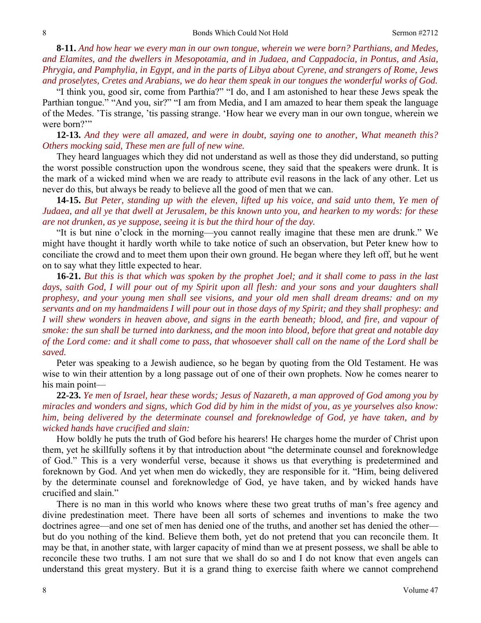**8-11.** *And how hear we every man in our own tongue, wherein we were born? Parthians, and Medes, and Elamites, and the dwellers in Mesopotamia, and in Judaea, and Cappadocia, in Pontus, and Asia, Phrygia, and Pamphylia, in Egypt, and in the parts of Libya about Cyrene, and strangers of Rome, Jews and proselytes, Cretes and Arabians, we do hear them speak in our tongues the wonderful works of God.* 

"I think you, good sir, come from Parthia?" "I do, and I am astonished to hear these Jews speak the Parthian tongue." "And you, sir?" "I am from Media, and I am amazed to hear them speak the language of the Medes. 'Tis strange, 'tis passing strange. 'How hear we every man in our own tongue, wherein we were born?"

**12-13.** *And they were all amazed, and were in doubt, saying one to another, What meaneth this? Others mocking said, These men are full of new wine.*

 They heard languages which they did not understand as well as those they did understand, so putting the worst possible construction upon the wondrous scene, they said that the speakers were drunk. It is the mark of a wicked mind when we are ready to attribute evil reasons in the lack of any other. Let us never do this, but always be ready to believe all the good of men that we can.

**14-15.** *But Peter, standing up with the eleven, lifted up his voice, and said unto them, Ye men of Judaea, and all ye that dwell at Jerusalem, be this known unto you, and hearken to my words: for these are not drunken, as ye suppose, seeing it is but the third hour of the day.*

 "It is but nine o'clock in the morning—you cannot really imagine that these men are drunk." We might have thought it hardly worth while to take notice of such an observation, but Peter knew how to conciliate the crowd and to meet them upon their own ground. He began where they left off, but he went on to say what they little expected to hear.

**16-21.** *But this is that which was spoken by the prophet Joel; and it shall come to pass in the last days, saith God, I will pour out of my Spirit upon all flesh: and your sons and your daughters shall prophesy, and your young men shall see visions, and your old men shall dream dreams: and on my servants and on my handmaidens I will pour out in those days of my Spirit; and they shall prophesy: and I will shew wonders in heaven above, and signs in the earth beneath; blood, and fire, and vapour of smoke: the sun shall be turned into darkness, and the moon into blood, before that great and notable day of the Lord come: and it shall come to pass, that whosoever shall call on the name of the Lord shall be saved.*

 Peter was speaking to a Jewish audience, so he began by quoting from the Old Testament. He was wise to win their attention by a long passage out of one of their own prophets. Now he comes nearer to his main point—

**22-23.** *Ye men of Israel, hear these words; Jesus of Nazareth, a man approved of God among you by miracles and wonders and signs, which God did by him in the midst of you, as ye yourselves also know: him, being delivered by the determinate counsel and foreknowledge of God, ye have taken, and by wicked hands have crucified and slain:*

 How boldly he puts the truth of God before his hearers! He charges home the murder of Christ upon them, yet he skillfully softens it by that introduction about "the determinate counsel and foreknowledge of God." This is a very wonderful verse, because it shows us that everything is predetermined and foreknown by God. And yet when men do wickedly, they are responsible for it. "Him, being delivered by the determinate counsel and foreknowledge of God, ye have taken, and by wicked hands have crucified and slain."

 There is no man in this world who knows where these two great truths of man's free agency and divine predestination meet. There have been all sorts of schemes and inventions to make the two doctrines agree—and one set of men has denied one of the truths, and another set has denied the other but do you nothing of the kind. Believe them both, yet do not pretend that you can reconcile them. It may be that, in another state, with larger capacity of mind than we at present possess, we shall be able to reconcile these two truths. I am not sure that we shall do so and I do not know that even angels can understand this great mystery. But it is a grand thing to exercise faith where we cannot comprehend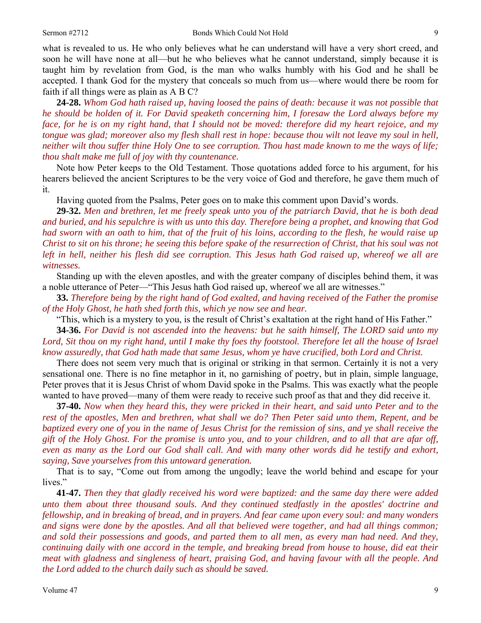what is revealed to us. He who only believes what he can understand will have a very short creed, and soon he will have none at all—but he who believes what he cannot understand, simply because it is taught him by revelation from God, is the man who walks humbly with his God and he shall be accepted. I thank God for the mystery that conceals so much from us—where would there be room for faith if all things were as plain as A B C?

**24-28.** *Whom God hath raised up, having loosed the pains of death: because it was not possible that he should be holden of it. For David speaketh concerning him, I foresaw the Lord always before my face, for he is on my right hand, that I should not be moved: therefore did my heart rejoice, and my tongue was glad; moreover also my flesh shall rest in hope: because thou wilt not leave my soul in hell, neither wilt thou suffer thine Holy One to see corruption. Thou hast made known to me the ways of life; thou shalt make me full of joy with thy countenance.*

 Note how Peter keeps to the Old Testament. Those quotations added force to his argument, for his hearers believed the ancient Scriptures to be the very voice of God and therefore, he gave them much of it.

Having quoted from the Psalms, Peter goes on to make this comment upon David's words.

**29-32.** *Men and brethren, let me freely speak unto you of the patriarch David, that he is both dead and buried, and his sepulchre is with us unto this day. Therefore being a prophet, and knowing that God had sworn with an oath to him, that of the fruit of his loins, according to the flesh, he would raise up Christ to sit on his throne; he seeing this before spake of the resurrection of Christ, that his soul was not left in hell, neither his flesh did see corruption. This Jesus hath God raised up, whereof we all are witnesses.*

 Standing up with the eleven apostles, and with the greater company of disciples behind them, it was a noble utterance of Peter—"This Jesus hath God raised up, whereof we all are witnesses."

**33.** *Therefore being by the right hand of God exalted, and having received of the Father the promise of the Holy Ghost, he hath shed forth this, which ye now see and hear.*

"This, which is a mystery to you, is the result of Christ's exaltation at the right hand of His Father."

**34-36.** *For David is not ascended into the heavens: but he saith himself, The LORD said unto my*  Lord, Sit thou on my right hand, until I make thy foes thy footstool. Therefore let all the house of Israel *know assuredly, that God hath made that same Jesus, whom ye have crucified, both Lord and Christ.*

 There does not seem very much that is original or striking in that sermon. Certainly it is not a very sensational one. There is no fine metaphor in it, no garnishing of poetry, but in plain, simple language, Peter proves that it is Jesus Christ of whom David spoke in the Psalms. This was exactly what the people wanted to have proved—many of them were ready to receive such proof as that and they did receive it.

**37-40.** *Now when they heard this, they were pricked in their heart, and said unto Peter and to the rest of the apostles, Men and brethren, what shall we do? Then Peter said unto them, Repent, and be baptized every one of you in the name of Jesus Christ for the remission of sins, and ye shall receive the gift of the Holy Ghost. For the promise is unto you, and to your children, and to all that are afar off, even as many as the Lord our God shall call. And with many other words did he testify and exhort, saying, Save yourselves from this untoward generation.*

 That is to say, "Come out from among the ungodly; leave the world behind and escape for your lives."

**41-47.** *Then they that gladly received his word were baptized: and the same day there were added unto them about three thousand souls. And they continued stedfastly in the apostles' doctrine and fellowship, and in breaking of bread, and in prayers. And fear came upon every soul: and many wonders and signs were done by the apostles. And all that believed were together, and had all things common; and sold their possessions and goods, and parted them to all men, as every man had need. And they, continuing daily with one accord in the temple, and breaking bread from house to house, did eat their meat with gladness and singleness of heart, praising God, and having favour with all the people. And the Lord added to the church daily such as should be saved.*